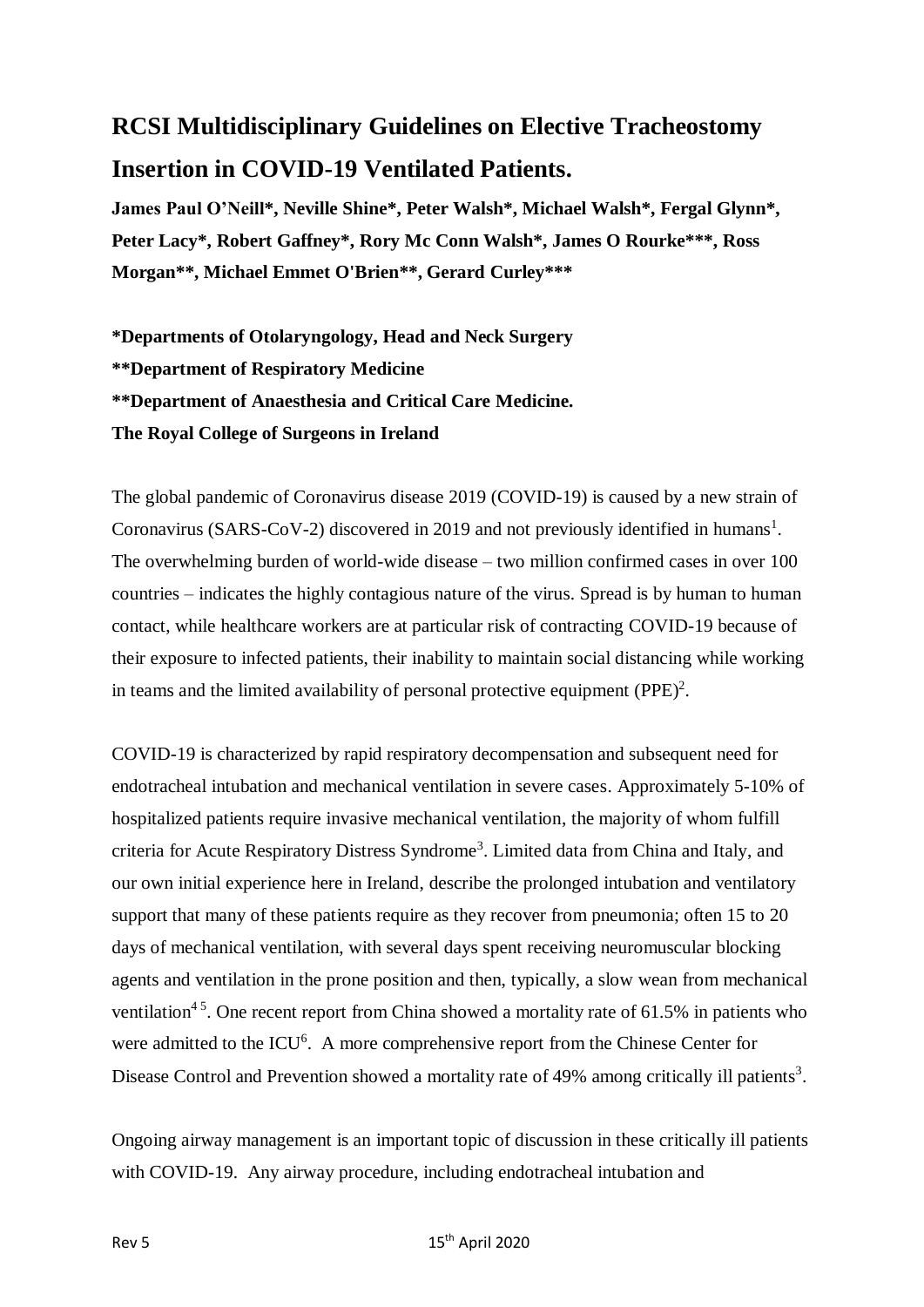# **RCSI Multidisciplinary Guidelines on Elective Tracheostomy Insertion in COVID-19 Ventilated Patients.**

**James Paul O'Neill\*, Neville Shine\*, Peter Walsh\*, Michael Walsh\*, Fergal Glynn\*, Peter Lacy\*, Robert Gaffney\*, Rory Mc Conn Walsh\*, James O Rourke\*\*\*, Ross Morgan\*\*, Michael Emmet O'Brien\*\*, Gerard Curley\*\*\***

**\*Departments of Otolaryngology, Head and Neck Surgery \*\*Department of Respiratory Medicine \*\*Department of Anaesthesia and Critical Care Medicine. The Royal College of Surgeons in Ireland**

The global pandemic of Coronavirus disease 2019 (COVID-19) is caused by a new strain of Coronavirus (SARS-CoV-2) discovered in 2019 and not previously identified in humans<sup>1</sup>. The overwhelming burden of world-wide disease – two million confirmed cases in over 100 countries – indicates the highly contagious nature of the virus. Spread is by human to human contact, while healthcare workers are at particular risk of contracting COVID-19 because of their exposure to infected patients, their inability to maintain social distancing while working in teams and the limited availability of personal protective equipment  $(PPE)^2$ .

COVID-19 is characterized by rapid respiratory decompensation and subsequent need for endotracheal intubation and mechanical ventilation in severe cases. Approximately 5-10% of hospitalized patients require invasive mechanical ventilation, the majority of whom fulfill criteria for Acute Respiratory Distress Syndrome<sup>3</sup>. Limited data from China and Italy, and our own initial experience here in Ireland, describe the prolonged intubation and ventilatory support that many of these patients require as they recover from pneumonia; often 15 to 20 days of mechanical ventilation, with several days spent receiving neuromuscular blocking agents and ventilation in the prone position and then, typically, a slow wean from mechanical ventilation<sup>45</sup>. One recent report from China showed a mortality rate of  $61.5\%$  in patients who were admitted to the ICU<sup>6</sup>. A more comprehensive report from the Chinese Center for Disease Control and Prevention showed a mortality rate of 49% among critically ill patients<sup>3</sup>.

Ongoing airway management is an important topic of discussion in these critically ill patients with COVID-19. Any airway procedure, including endotracheal intubation and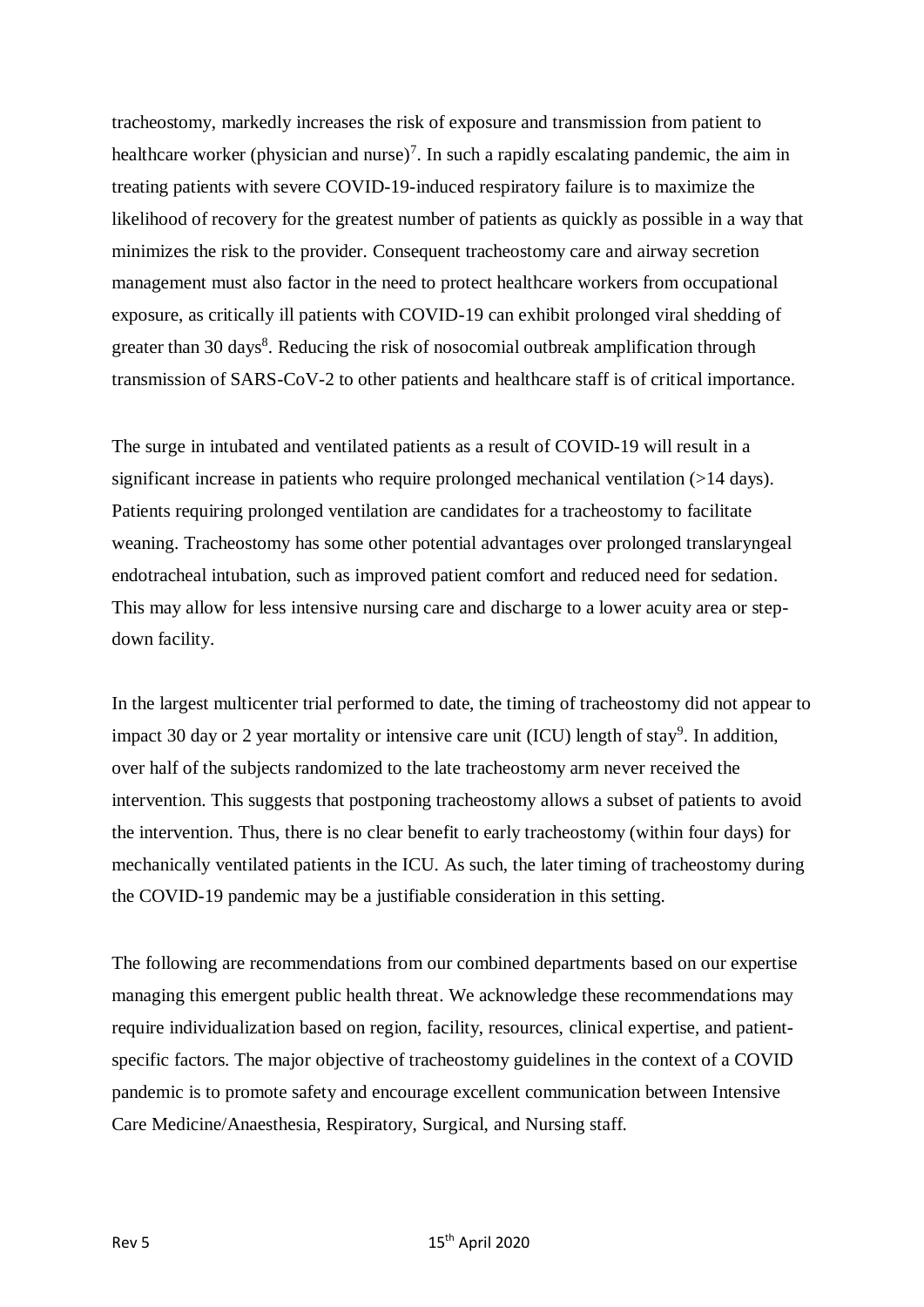tracheostomy, markedly increases the risk of exposure and transmission from patient to healthcare worker (physician and nurse)<sup>7</sup>. In such a rapidly escalating pandemic, the aim in treating patients with severe COVID-19-induced respiratory failure is to maximize the likelihood of recovery for the greatest number of patients as quickly as possible in a way that minimizes the risk to the provider. Consequent tracheostomy care and airway secretion management must also factor in the need to protect healthcare workers from occupational exposure, as critically ill patients with COVID-19 can exhibit prolonged viral shedding of greater than 30 days<sup>8</sup>. Reducing the risk of nosocomial outbreak amplification through transmission of SARS-CoV-2 to other patients and healthcare staff is of critical importance.

The surge in intubated and ventilated patients as a result of COVID-19 will result in a significant increase in patients who require prolonged mechanical ventilation (>14 days). Patients requiring prolonged ventilation are candidates for a tracheostomy to facilitate weaning. Tracheostomy has some other potential advantages over prolonged translaryngeal endotracheal intubation, such as improved patient comfort and reduced need for sedation. This may allow for less intensive nursing care and discharge to a lower acuity area or stepdown facility.

In the largest multicenter trial performed to date, the timing of tracheostomy did not appear to impact 30 day or 2 year mortality or intensive care unit (ICU) length of stay<sup>9</sup>. In addition, over half of the subjects randomized to the late tracheostomy arm never received the intervention. This suggests that postponing tracheostomy allows a subset of patients to avoid the intervention. Thus, there is no clear benefit to early tracheostomy (within four days) for mechanically ventilated patients in the ICU. As such, the later timing of tracheostomy during the COVID-19 pandemic may be a justifiable consideration in this setting.

The following are recommendations from our combined departments based on our expertise managing this emergent public health threat. We acknowledge these recommendations may require individualization based on region, facility, resources, clinical expertise, and patientspecific factors. The major objective of tracheostomy guidelines in the context of a COVID pandemic is to promote safety and encourage excellent communication between Intensive Care Medicine/Anaesthesia, Respiratory, Surgical, and Nursing staff.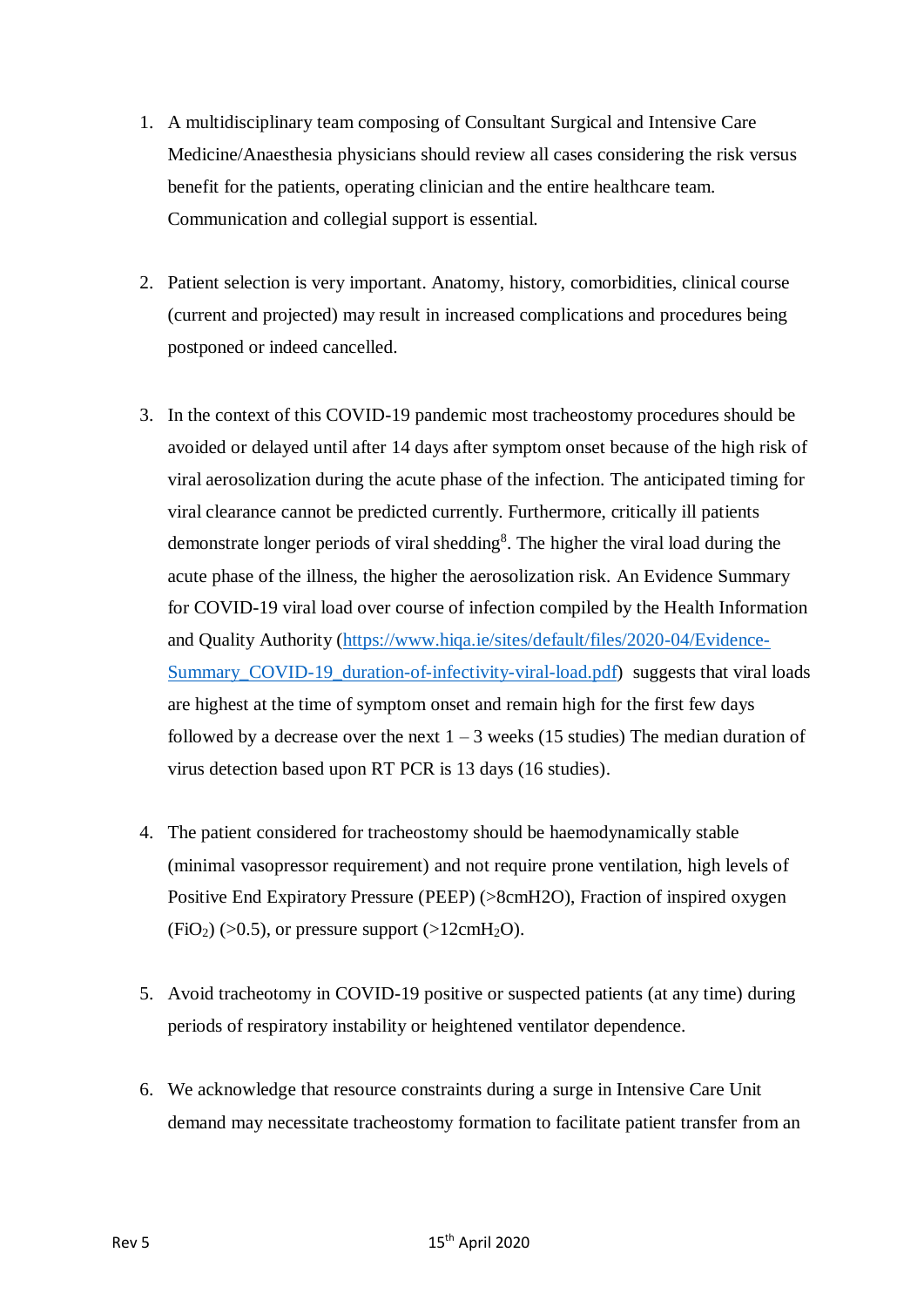- 1. A multidisciplinary team composing of Consultant Surgical and Intensive Care Medicine/Anaesthesia physicians should review all cases considering the risk versus benefit for the patients, operating clinician and the entire healthcare team. Communication and collegial support is essential.
- 2. Patient selection is very important. Anatomy, history, comorbidities, clinical course (current and projected) may result in increased complications and procedures being postponed or indeed cancelled.
- 3. In the context of this COVID-19 pandemic most tracheostomy procedures should be avoided or delayed until after 14 days after symptom onset because of the high risk of viral aerosolization during the acute phase of the infection. The anticipated timing for viral clearance cannot be predicted currently. Furthermore, critically ill patients demonstrate longer periods of viral shedding<sup>8</sup>. The higher the viral load during the acute phase of the illness, the higher the aerosolization risk. An Evidence Summary for COVID-19 viral load over course of infection compiled by the Health Information and Quality Authority [\(https://www.hiqa.ie/sites/default/files/2020-04/Evidence-](https://www.hiqa.ie/sites/default/files/2020-04/Evidence-Summary_COVID-19_duration-of-infectivity-viral-load.pdf)Summary COVID-19 duration-of-infectivity-viral-load.pdf) suggests that viral loads are highest at the time of symptom onset and remain high for the first few days followed by a decrease over the next  $1 - 3$  weeks (15 studies) The median duration of virus detection based upon RT PCR is 13 days (16 studies).
- 4. The patient considered for tracheostomy should be haemodynamically stable (minimal vasopressor requirement) and not require prone ventilation, high levels of Positive End Expiratory Pressure (PEEP) (>8cmH2O), Fraction of inspired oxygen  $(FiO<sub>2</sub>)$  (>0.5), or pressure support (>12cmH<sub>2</sub>O).
- 5. Avoid tracheotomy in COVID-19 positive or suspected patients (at any time) during periods of respiratory instability or heightened ventilator dependence.
- 6. We acknowledge that resource constraints during a surge in Intensive Care Unit demand may necessitate tracheostomy formation to facilitate patient transfer from an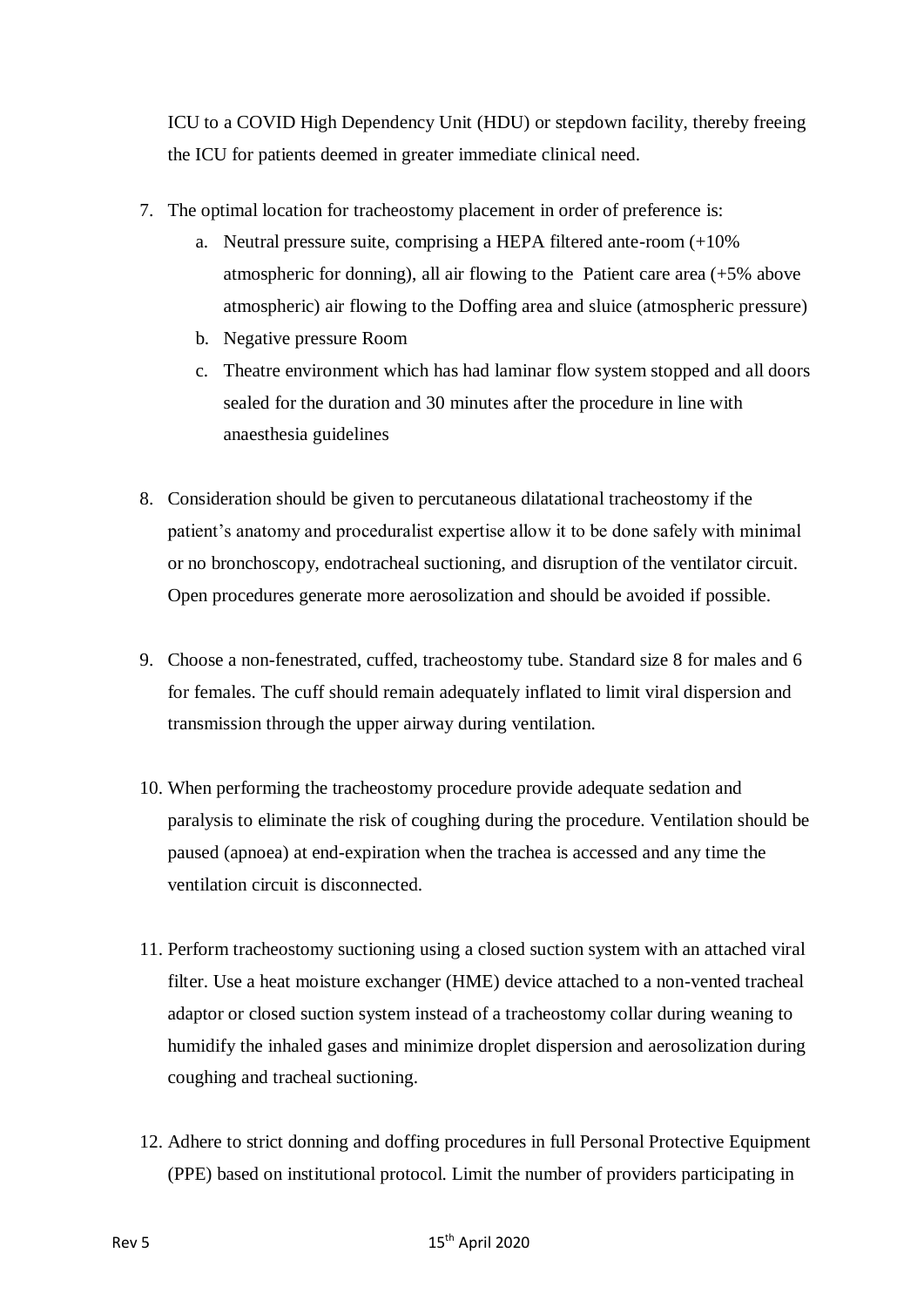ICU to a COVID High Dependency Unit (HDU) or stepdown facility, thereby freeing the ICU for patients deemed in greater immediate clinical need.

- 7. The optimal location for tracheostomy placement in order of preference is:
	- a. Neutral pressure suite, comprising a HEPA filtered ante-room (+10% atmospheric for donning), all air flowing to the Patient care area (+5% above atmospheric) air flowing to the Doffing area and sluice (atmospheric pressure)
	- b. Negative pressure Room
	- c. Theatre environment which has had laminar flow system stopped and all doors sealed for the duration and 30 minutes after the procedure in line with anaesthesia guidelines
- 8. Consideration should be given to percutaneous dilatational tracheostomy if the patient's anatomy and proceduralist expertise allow it to be done safely with minimal or no bronchoscopy, endotracheal suctioning, and disruption of the ventilator circuit. Open procedures generate more aerosolization and should be avoided if possible.
- 9. Choose a non-fenestrated, cuffed, tracheostomy tube. Standard size 8 for males and 6 for females. The cuff should remain adequately inflated to limit viral dispersion and transmission through the upper airway during ventilation.
- 10. When performing the tracheostomy procedure provide adequate sedation and paralysis to eliminate the risk of coughing during the procedure. Ventilation should be paused (apnoea) at end-expiration when the trachea is accessed and any time the ventilation circuit is disconnected.
- 11. Perform tracheostomy suctioning using a closed suction system with an attached viral filter. Use a heat moisture exchanger (HME) device attached to a non-vented tracheal adaptor or closed suction system instead of a tracheostomy collar during weaning to humidify the inhaled gases and minimize droplet dispersion and aerosolization during coughing and tracheal suctioning.
- 12. Adhere to strict donning and doffing procedures in full Personal Protective Equipment (PPE) based on institutional protocol. Limit the number of providers participating in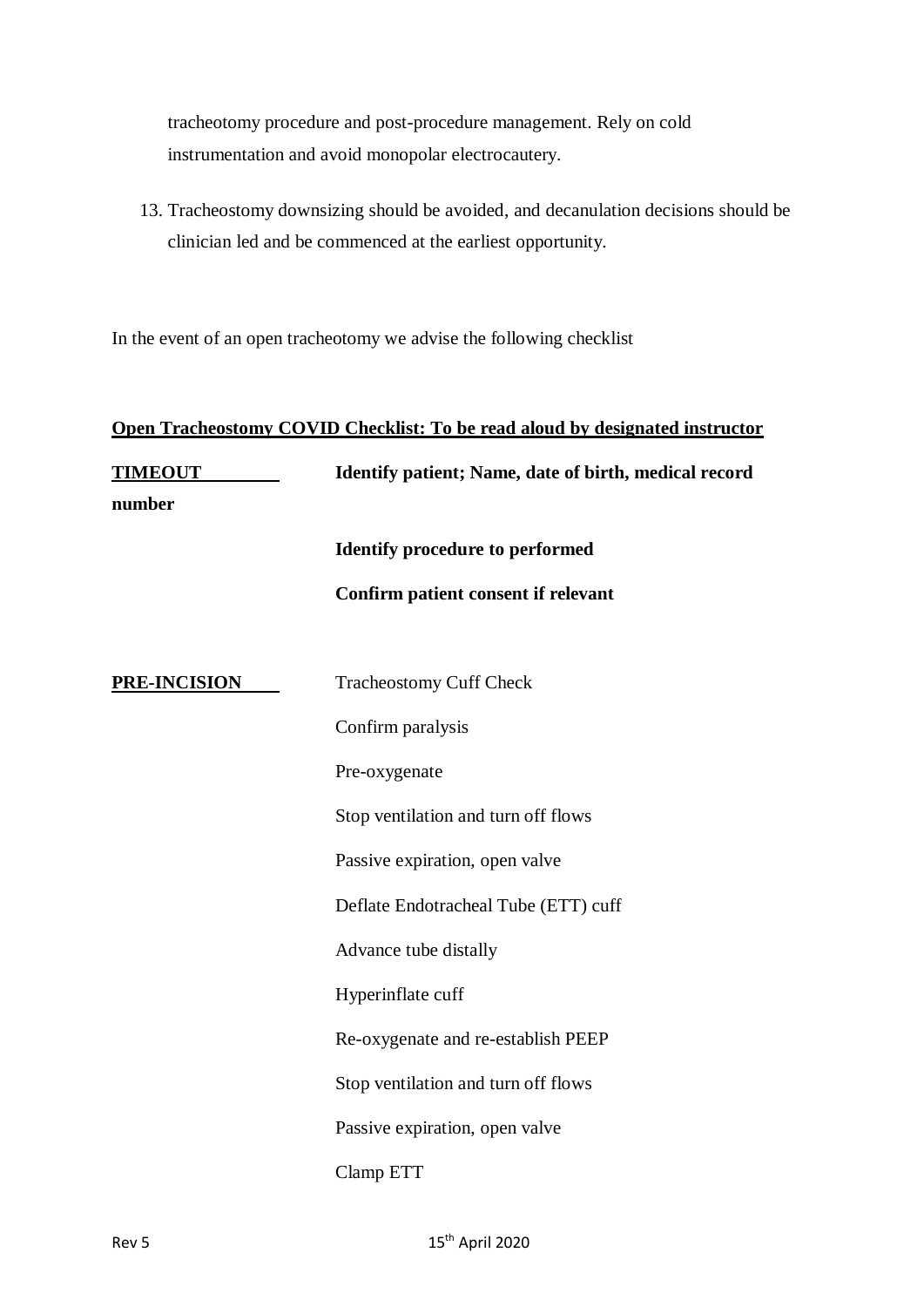tracheotomy procedure and post-procedure management. Rely on cold instrumentation and avoid monopolar electrocautery.

13. Tracheostomy downsizing should be avoided, and decanulation decisions should be clinician led and be commenced at the earliest opportunity.

In the event of an open tracheotomy we advise the following checklist

| Open Tracheostomy COVID Checklist: To be read aloud by designated instructor |                                                       |
|------------------------------------------------------------------------------|-------------------------------------------------------|
| <b>TIMEOUT</b><br>number                                                     | Identify patient; Name, date of birth, medical record |
|                                                                              | <b>Identify procedure to performed</b>                |
|                                                                              | Confirm patient consent if relevant                   |
| <b>PRE-INCISION</b>                                                          | <b>Tracheostomy Cuff Check</b>                        |
|                                                                              | Confirm paralysis                                     |
|                                                                              | Pre-oxygenate                                         |
|                                                                              | Stop ventilation and turn off flows                   |
|                                                                              | Passive expiration, open valve                        |
|                                                                              | Deflate Endotracheal Tube (ETT) cuff                  |
|                                                                              | Advance tube distally                                 |
|                                                                              | Hyperinflate cuff                                     |
|                                                                              | Re-oxygenate and re-establish PEEP                    |
|                                                                              | Stop ventilation and turn off flows                   |
|                                                                              | Passive expiration, open valve                        |
|                                                                              | Clamp ETT                                             |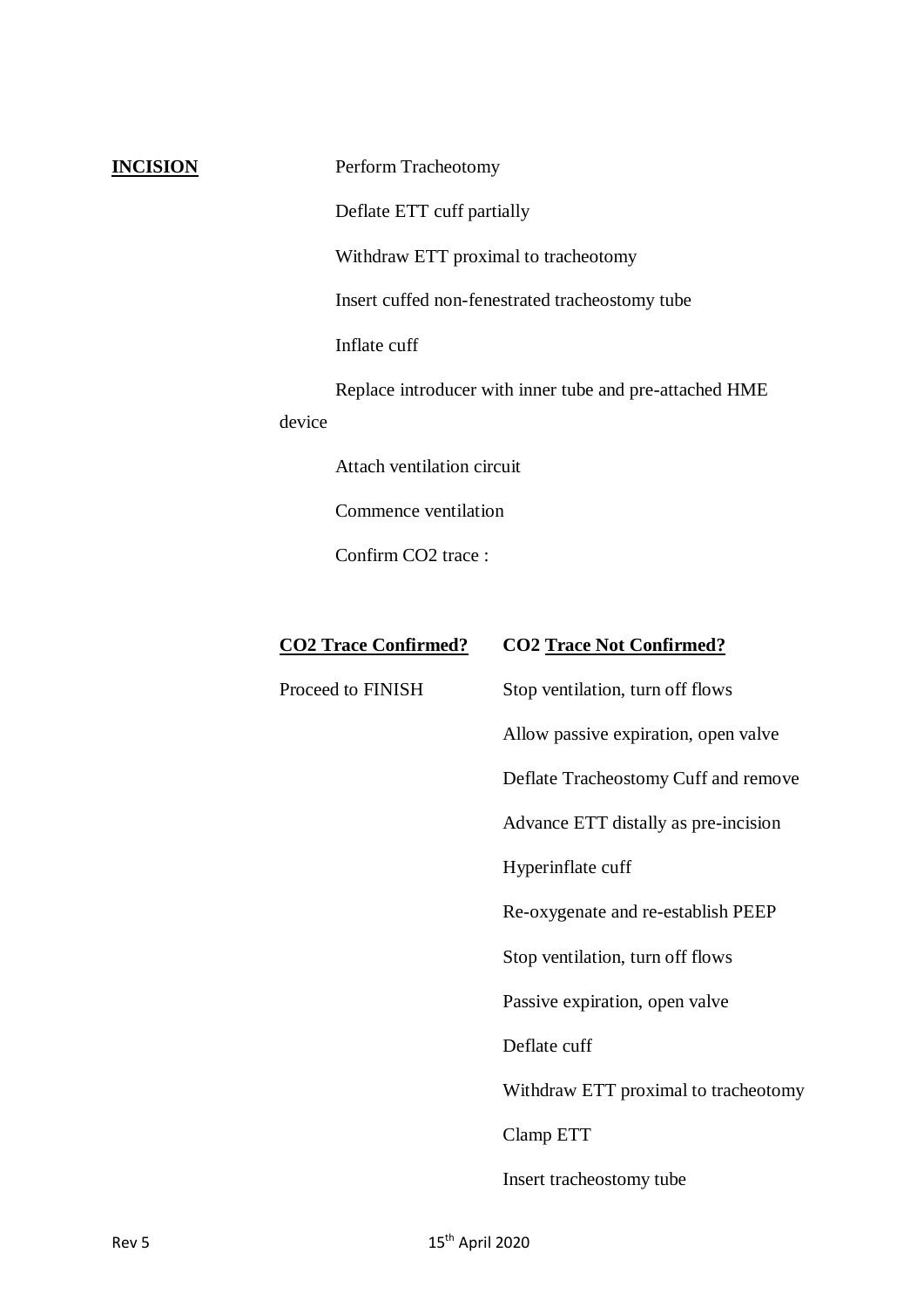**INCISION** Perform Tracheotomy

Deflate ETT cuff partially

Withdraw ETT proximal to tracheotomy

Insert cuffed non-fenestrated tracheostomy tube

Inflate cuff

Replace introducer with inner tube and pre-attached HME device

Attach ventilation circuit

Commence ventilation

Confirm CO2 trace :

## **CO2 Trace Confirmed? CO2 Trace Not Confirmed?**

Proceed to FINISH Stop ventilation, turn off flows Allow passive expiration, open valve

Deflate Tracheostomy Cuff and remove

Advance ETT distally as pre-incision

Hyperinflate cuff

Re-oxygenate and re-establish PEEP

Stop ventilation, turn off flows

Passive expiration, open valve

Deflate cuff

Withdraw ETT proximal to tracheotomy

Clamp ETT

Insert tracheostomy tube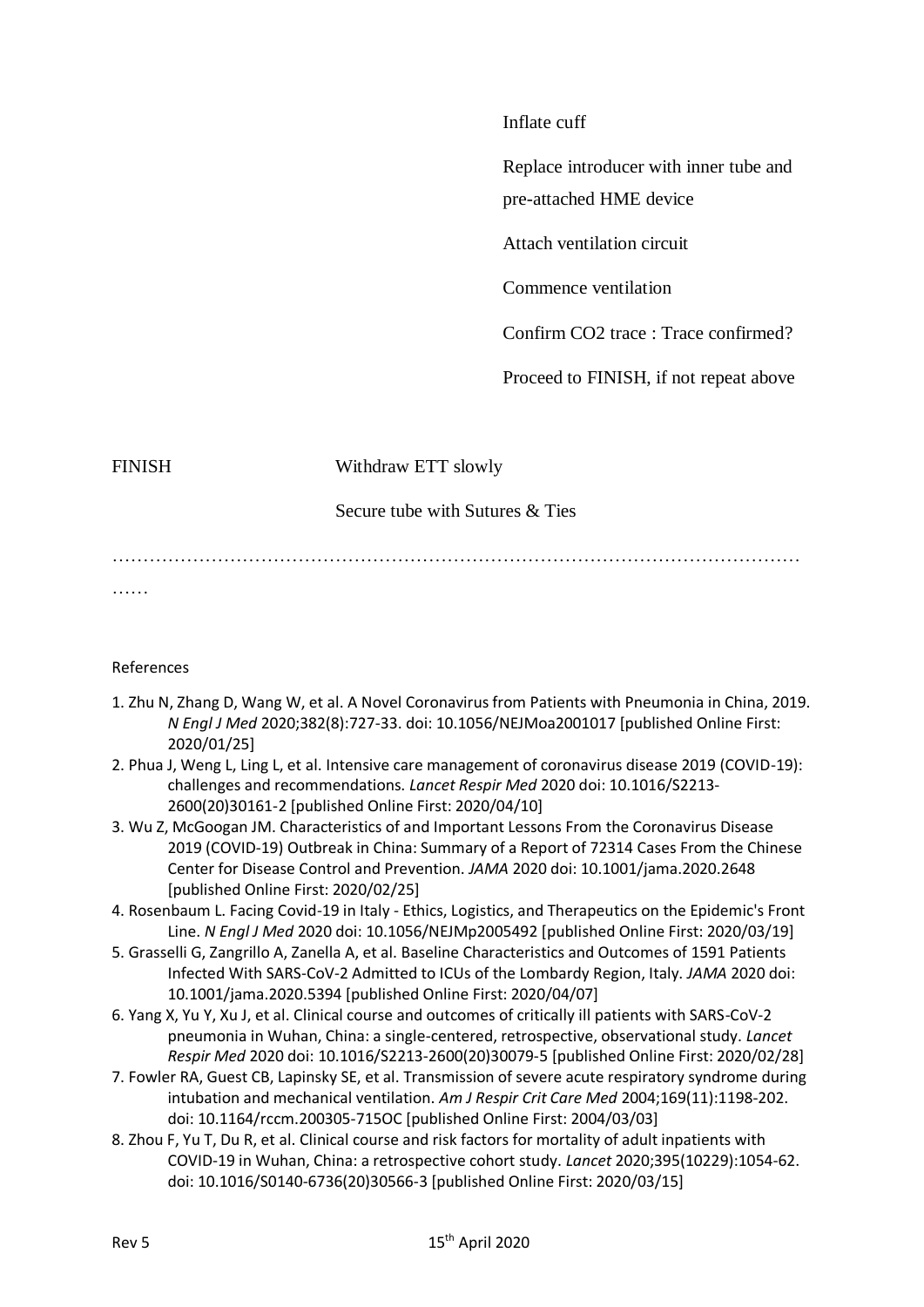#### Inflate cuff

Replace introducer with inner tube and

pre-attached HME device

Attach ventilation circuit

Commence ventilation

Confirm CO2 trace : Trace confirmed?

Proceed to FINISH, if not repeat above

FINISH Withdraw ETT slowly

### Secure tube with Sutures & Ties

…………………………………………………………………………………………………

……

### References

- 1. Zhu N, Zhang D, Wang W, et al. A Novel Coronavirus from Patients with Pneumonia in China, 2019. *N Engl J Med* 2020;382(8):727-33. doi: 10.1056/NEJMoa2001017 [published Online First: 2020/01/25]
- 2. Phua J, Weng L, Ling L, et al. Intensive care management of coronavirus disease 2019 (COVID-19): challenges and recommendations. *Lancet Respir Med* 2020 doi: 10.1016/S2213- 2600(20)30161-2 [published Online First: 2020/04/10]
- 3. Wu Z, McGoogan JM. Characteristics of and Important Lessons From the Coronavirus Disease 2019 (COVID-19) Outbreak in China: Summary of a Report of 72314 Cases From the Chinese Center for Disease Control and Prevention. *JAMA* 2020 doi: 10.1001/jama.2020.2648 [published Online First: 2020/02/25]
- 4. Rosenbaum L. Facing Covid-19 in Italy Ethics, Logistics, and Therapeutics on the Epidemic's Front Line. *N Engl J Med* 2020 doi: 10.1056/NEJMp2005492 [published Online First: 2020/03/19]
- 5. Grasselli G, Zangrillo A, Zanella A, et al. Baseline Characteristics and Outcomes of 1591 Patients Infected With SARS-CoV-2 Admitted to ICUs of the Lombardy Region, Italy. *JAMA* 2020 doi: 10.1001/jama.2020.5394 [published Online First: 2020/04/07]
- 6. Yang X, Yu Y, Xu J, et al. Clinical course and outcomes of critically ill patients with SARS-CoV-2 pneumonia in Wuhan, China: a single-centered, retrospective, observational study. *Lancet Respir Med* 2020 doi: 10.1016/S2213-2600(20)30079-5 [published Online First: 2020/02/28]
- 7. Fowler RA, Guest CB, Lapinsky SE, et al. Transmission of severe acute respiratory syndrome during intubation and mechanical ventilation. *Am J Respir Crit Care Med* 2004;169(11):1198-202. doi: 10.1164/rccm.200305-715OC [published Online First: 2004/03/03]
- 8. Zhou F, Yu T, Du R, et al. Clinical course and risk factors for mortality of adult inpatients with COVID-19 in Wuhan, China: a retrospective cohort study. *Lancet* 2020;395(10229):1054-62. doi: 10.1016/S0140-6736(20)30566-3 [published Online First: 2020/03/15]